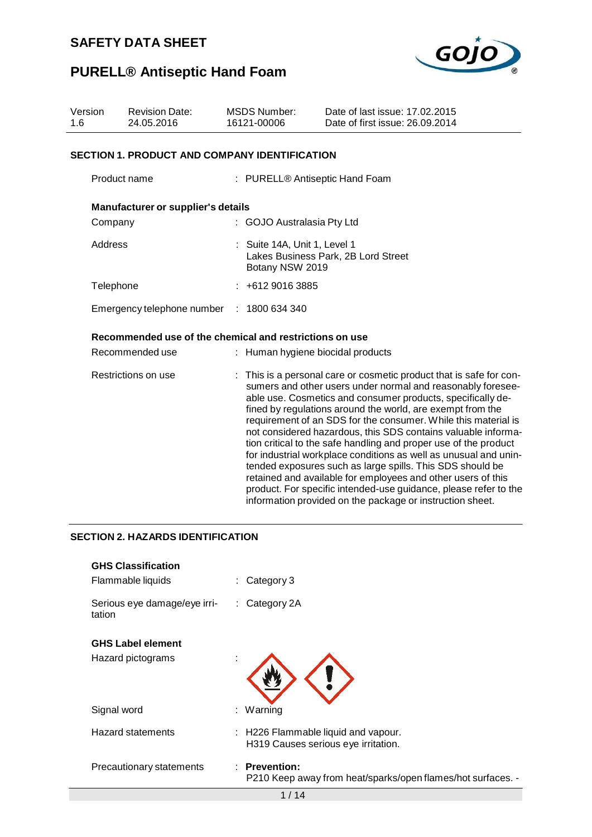

# **PURELL® Antiseptic Hand Foam**

| Version<br><b>Revision Date:</b><br>24.05.2016<br>1.6 |                                                         | <b>MSDS Number:</b><br>16121-00006 | Date of last issue: 17.02.2015<br>Date of first issue: 26.09.2014                                                                                                                                                                                                                                                                                                                                                                                                                                                                                                                                                                                                                                                                                                                                        |  |  |  |  |  |
|-------------------------------------------------------|---------------------------------------------------------|------------------------------------|----------------------------------------------------------------------------------------------------------------------------------------------------------------------------------------------------------------------------------------------------------------------------------------------------------------------------------------------------------------------------------------------------------------------------------------------------------------------------------------------------------------------------------------------------------------------------------------------------------------------------------------------------------------------------------------------------------------------------------------------------------------------------------------------------------|--|--|--|--|--|
|                                                       | <b>SECTION 1. PRODUCT AND COMPANY IDENTIFICATION</b>    |                                    |                                                                                                                                                                                                                                                                                                                                                                                                                                                                                                                                                                                                                                                                                                                                                                                                          |  |  |  |  |  |
|                                                       | Product name                                            |                                    | : PURELL® Antiseptic Hand Foam                                                                                                                                                                                                                                                                                                                                                                                                                                                                                                                                                                                                                                                                                                                                                                           |  |  |  |  |  |
|                                                       | <b>Manufacturer or supplier's details</b>               |                                    |                                                                                                                                                                                                                                                                                                                                                                                                                                                                                                                                                                                                                                                                                                                                                                                                          |  |  |  |  |  |
| Company                                               |                                                         | : GOJO Australasia Pty Ltd         |                                                                                                                                                                                                                                                                                                                                                                                                                                                                                                                                                                                                                                                                                                                                                                                                          |  |  |  |  |  |
| Address                                               |                                                         |                                    | : Suite 14A, Unit 1, Level 1<br>Lakes Business Park, 2B Lord Street<br>Botany NSW 2019                                                                                                                                                                                                                                                                                                                                                                                                                                                                                                                                                                                                                                                                                                                   |  |  |  |  |  |
| Telephone                                             |                                                         | : 461290163885                     |                                                                                                                                                                                                                                                                                                                                                                                                                                                                                                                                                                                                                                                                                                                                                                                                          |  |  |  |  |  |
|                                                       | Emergency telephone number : 1800 634 340               |                                    |                                                                                                                                                                                                                                                                                                                                                                                                                                                                                                                                                                                                                                                                                                                                                                                                          |  |  |  |  |  |
|                                                       | Recommended use of the chemical and restrictions on use |                                    |                                                                                                                                                                                                                                                                                                                                                                                                                                                                                                                                                                                                                                                                                                                                                                                                          |  |  |  |  |  |
|                                                       | Recommended use                                         |                                    | Human hygiene biocidal products                                                                                                                                                                                                                                                                                                                                                                                                                                                                                                                                                                                                                                                                                                                                                                          |  |  |  |  |  |
|                                                       | Restrictions on use                                     |                                    | : This is a personal care or cosmetic product that is safe for con-<br>sumers and other users under normal and reasonably foresee-<br>able use. Cosmetics and consumer products, specifically de-<br>fined by regulations around the world, are exempt from the<br>requirement of an SDS for the consumer. While this material is<br>not considered hazardous, this SDS contains valuable informa-<br>tion critical to the safe handling and proper use of the product<br>for industrial workplace conditions as well as unusual and unin-<br>tended exposures such as large spills. This SDS should be<br>retained and available for employees and other users of this<br>product. For specific intended-use guidance, please refer to the<br>information provided on the package or instruction sheet. |  |  |  |  |  |

#### **SECTION 2. HAZARDS IDENTIFICATION**

| <b>GHS Classification</b><br>Flammable liquids | $\therefore$ Category 3                                                               |
|------------------------------------------------|---------------------------------------------------------------------------------------|
| Serious eye damage/eye irri-<br>tation         | $:$ Category 2A                                                                       |
| <b>GHS Label element</b>                       |                                                                                       |
| Hazard pictograms                              |                                                                                       |
| Signal word                                    | Warning<br>t.                                                                         |
| Hazard statements                              | $\therefore$ H226 Flammable liquid and vapour.<br>H319 Causes serious eye irritation. |
| Precautionary statements                       | : Prevention:<br>P210 Keep away from heat/sparks/open flames/hot surfaces. -          |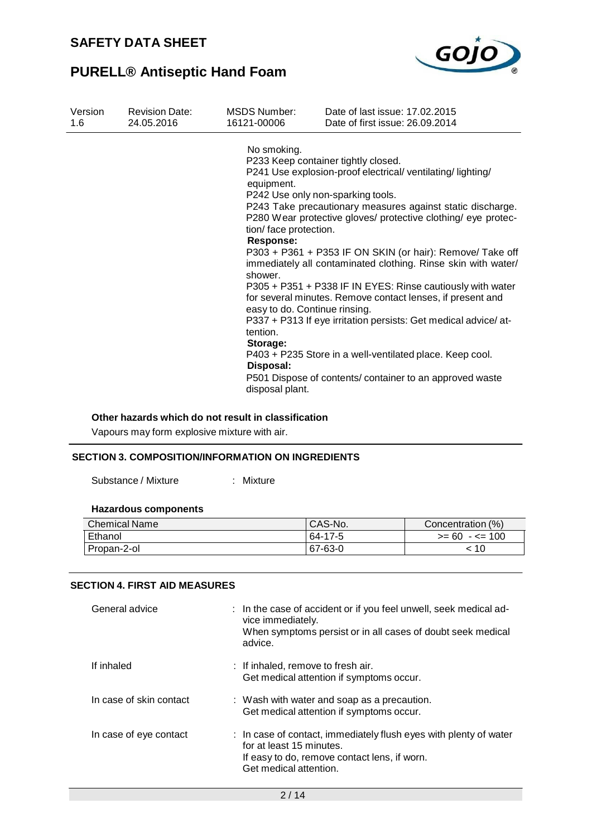

| Version | <b>Revision Date:</b> | <b>MSDS Number:</b>                                                                                                                                                        | Date of last issue: 17,02,2015                                                                                                                                                                                                                                                                                                                                                                                                                                                                                                                                                                                                                                                                                          |
|---------|-----------------------|----------------------------------------------------------------------------------------------------------------------------------------------------------------------------|-------------------------------------------------------------------------------------------------------------------------------------------------------------------------------------------------------------------------------------------------------------------------------------------------------------------------------------------------------------------------------------------------------------------------------------------------------------------------------------------------------------------------------------------------------------------------------------------------------------------------------------------------------------------------------------------------------------------------|
| 1.6     | 24.05.2016            | 16121-00006                                                                                                                                                                | Date of first issue: 26.09.2014                                                                                                                                                                                                                                                                                                                                                                                                                                                                                                                                                                                                                                                                                         |
|         |                       | No smoking.<br>equipment.<br>tion/face protection.<br><b>Response:</b><br>shower.<br>easy to do. Continue rinsing.<br>tention.<br>Storage:<br>Disposal:<br>disposal plant. | P233 Keep container tightly closed.<br>P241 Use explosion-proof electrical/ventilating/lighting/<br>P242 Use only non-sparking tools.<br>P243 Take precautionary measures against static discharge.<br>P280 Wear protective gloves/ protective clothing/ eye protec-<br>P303 + P361 + P353 IF ON SKIN (or hair): Remove/ Take off<br>immediately all contaminated clothing. Rinse skin with water/<br>P305 + P351 + P338 IF IN EYES: Rinse cautiously with water<br>for several minutes. Remove contact lenses, if present and<br>P337 + P313 If eye irritation persists: Get medical advice/at-<br>P403 + P235 Store in a well-ventilated place. Keep cool.<br>P501 Dispose of contents/container to an approved waste |

#### **Other hazards which do not result in classification**

Vapours may form explosive mixture with air.

#### **SECTION 3. COMPOSITION/INFORMATION ON INGREDIENTS**

Substance / Mixture : Mixture

#### **Hazardous components**

| <b>Chemical Name</b> | <sup>1</sup> CAS-No. | Concentration (%) |
|----------------------|----------------------|-------------------|
| Ethanol              | 64-17-5              | $>= 60 - 5 = 100$ |
| Propan-2-ol          | 67-63-0              | 10                |

#### **SECTION 4. FIRST AID MEASURES**

| General advice          | : In the case of accident or if you feel unwell, seek medical ad-<br>vice immediately.<br>When symptoms persist or in all cases of doubt seek medical<br>advice.        |
|-------------------------|-------------------------------------------------------------------------------------------------------------------------------------------------------------------------|
| If inhaled              | : If inhaled, remove to fresh air.<br>Get medical attention if symptoms occur.                                                                                          |
| In case of skin contact | : Wash with water and soap as a precaution.<br>Get medical attention if symptoms occur.                                                                                 |
| In case of eye contact  | : In case of contact, immediately flush eyes with plenty of water<br>for at least 15 minutes.<br>If easy to do, remove contact lens, if worn.<br>Get medical attention. |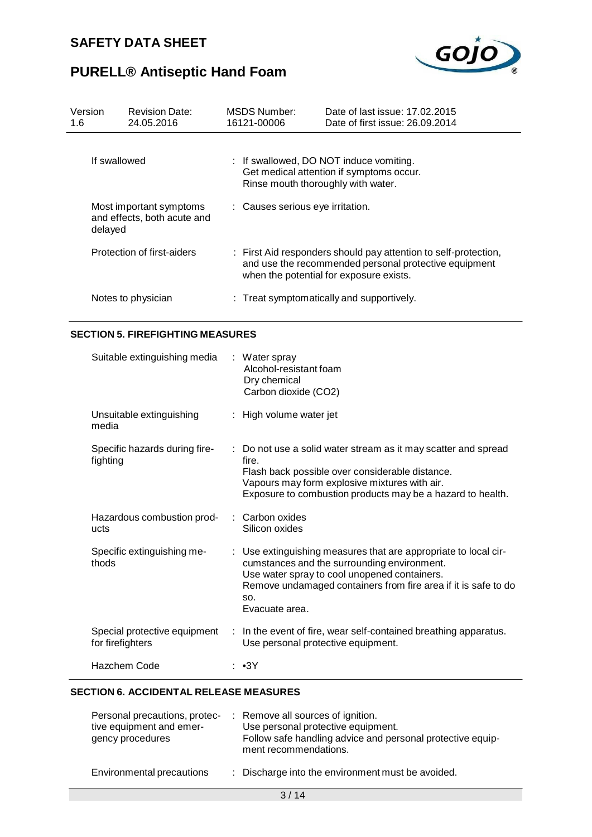

| Version<br>1.6 | <b>Revision Date:</b><br>24.05.2016                    | MSDS Number:<br>16121-00006        | Date of last issue: 17.02.2015<br>Date of first issue: 26.09.2014                                                                                                   |
|----------------|--------------------------------------------------------|------------------------------------|---------------------------------------------------------------------------------------------------------------------------------------------------------------------|
|                | If swallowed                                           | Rinse mouth thoroughly with water. | : If swallowed, DO NOT induce vomiting.<br>Get medical attention if symptoms occur.                                                                                 |
| delayed        | Most important symptoms<br>and effects, both acute and | : Causes serious eye irritation.   |                                                                                                                                                                     |
|                | Protection of first-aiders                             |                                    | : First Aid responders should pay attention to self-protection,<br>and use the recommended personal protective equipment<br>when the potential for exposure exists. |
|                | Notes to physician                                     |                                    | $\therefore$ Treat symptomatically and supportively.                                                                                                                |

#### **SECTION 5. FIREFIGHTING MEASURES**

| Suitable extinguishing media                     | : Water spray<br>Alcohol-resistant foam<br>Dry chemical<br>Carbon dioxide (CO2)                                                                                                                                                                           |
|--------------------------------------------------|-----------------------------------------------------------------------------------------------------------------------------------------------------------------------------------------------------------------------------------------------------------|
| Unsuitable extinguishing<br>media                | : High volume water jet                                                                                                                                                                                                                                   |
| Specific hazards during fire-<br>fighting        | : Do not use a solid water stream as it may scatter and spread<br>fire.<br>Flash back possible over considerable distance.<br>Vapours may form explosive mixtures with air.<br>Exposure to combustion products may be a hazard to health.                 |
| Hazardous combustion prod-<br>ucts               | : Carbon oxides<br>Silicon oxides                                                                                                                                                                                                                         |
| Specific extinguishing me-<br>thods              | : Use extinguishing measures that are appropriate to local cir-<br>cumstances and the surrounding environment.<br>Use water spray to cool unopened containers.<br>Remove undamaged containers from fire area if it is safe to do<br>SO.<br>Evacuate area. |
| Special protective equipment<br>for firefighters | : In the event of fire, wear self-contained breathing apparatus.<br>Use personal protective equipment.                                                                                                                                                    |
| Hazchem Code                                     | : ∙3Y                                                                                                                                                                                                                                                     |

### **SECTION 6. ACCIDENTAL RELEASE MEASURES**

| Personal precautions, protec-<br>tive equipment and emer-<br>gency procedures |  | : Remove all sources of ignition.<br>Use personal protective equipment.<br>Follow safe handling advice and personal protective equip-<br>ment recommendations. |
|-------------------------------------------------------------------------------|--|----------------------------------------------------------------------------------------------------------------------------------------------------------------|
| Environmental precautions                                                     |  | : Discharge into the environment must be avoided.                                                                                                              |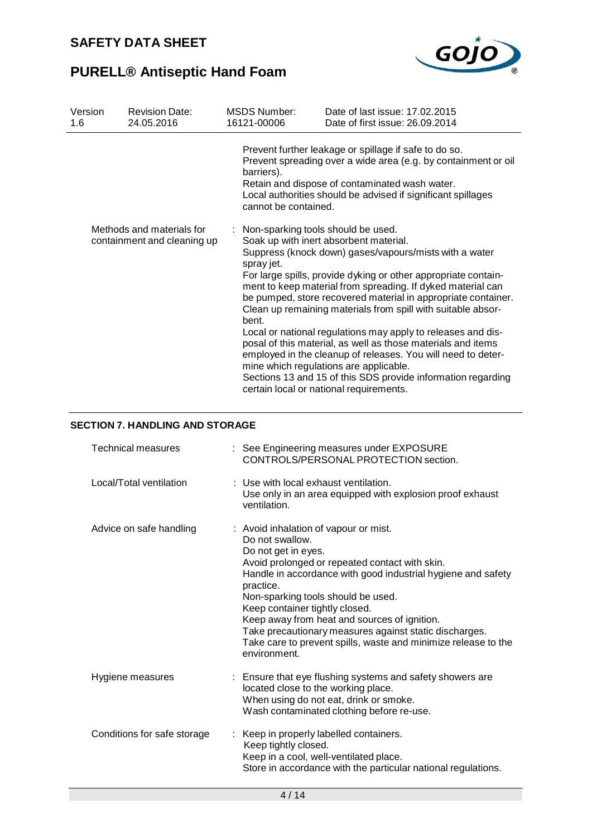

| Version<br>1.6 | <b>Revision Date:</b><br>24.05.2016                      | MSDS Number:<br>16121-00006                                                                       | Date of last issue: 17,02,2015<br>Date of first issue: 26.09.2014                                                                                                                                                                                                                                                                                                                                                                                                                                                                                                                                                                                                                                                                                                                                                                                                                                                                                                    |
|----------------|----------------------------------------------------------|---------------------------------------------------------------------------------------------------|----------------------------------------------------------------------------------------------------------------------------------------------------------------------------------------------------------------------------------------------------------------------------------------------------------------------------------------------------------------------------------------------------------------------------------------------------------------------------------------------------------------------------------------------------------------------------------------------------------------------------------------------------------------------------------------------------------------------------------------------------------------------------------------------------------------------------------------------------------------------------------------------------------------------------------------------------------------------|
|                | Methods and materials for<br>containment and cleaning up | barriers).<br>cannot be contained.<br>: Non-sparking tools should be used.<br>spray jet.<br>bent. | Prevent further leakage or spillage if safe to do so.<br>Prevent spreading over a wide area (e.g. by containment or oil<br>Retain and dispose of contaminated wash water.<br>Local authorities should be advised if significant spillages<br>Soak up with inert absorbent material.<br>Suppress (knock down) gases/vapours/mists with a water<br>For large spills, provide dyking or other appropriate contain-<br>ment to keep material from spreading. If dyked material can<br>be pumped, store recovered material in appropriate container.<br>Clean up remaining materials from spill with suitable absor-<br>Local or national regulations may apply to releases and dis-<br>posal of this material, as well as those materials and items<br>employed in the cleanup of releases. You will need to deter-<br>mine which regulations are applicable.<br>Sections 13 and 15 of this SDS provide information regarding<br>certain local or national requirements. |
|                |                                                          |                                                                                                   |                                                                                                                                                                                                                                                                                                                                                                                                                                                                                                                                                                                                                                                                                                                                                                                                                                                                                                                                                                      |

### **SECTION 7. HANDLING AND STORAGE**

| <b>Technical measures</b>   | : See Engineering measures under EXPOSURE<br>CONTROLS/PERSONAL PROTECTION section.                                                                                                                                                                                                                                                                                                                                                                                                 |
|-----------------------------|------------------------------------------------------------------------------------------------------------------------------------------------------------------------------------------------------------------------------------------------------------------------------------------------------------------------------------------------------------------------------------------------------------------------------------------------------------------------------------|
| Local/Total ventilation     | : Use with local exhaust ventilation.<br>Use only in an area equipped with explosion proof exhaust<br>ventilation.                                                                                                                                                                                                                                                                                                                                                                 |
| Advice on safe handling     | : Avoid inhalation of vapour or mist.<br>Do not swallow.<br>Do not get in eyes.<br>Avoid prolonged or repeated contact with skin.<br>Handle in accordance with good industrial hygiene and safety<br>practice.<br>Non-sparking tools should be used.<br>Keep container tightly closed.<br>Keep away from heat and sources of ignition.<br>Take precautionary measures against static discharges.<br>Take care to prevent spills, waste and minimize release to the<br>environment. |
| Hygiene measures            | : Ensure that eye flushing systems and safety showers are<br>located close to the working place.<br>When using do not eat, drink or smoke.<br>Wash contaminated clothing before re-use.                                                                                                                                                                                                                                                                                            |
| Conditions for safe storage | Keep in properly labelled containers.<br>Keep tightly closed.<br>Keep in a cool, well-ventilated place.<br>Store in accordance with the particular national regulations.                                                                                                                                                                                                                                                                                                           |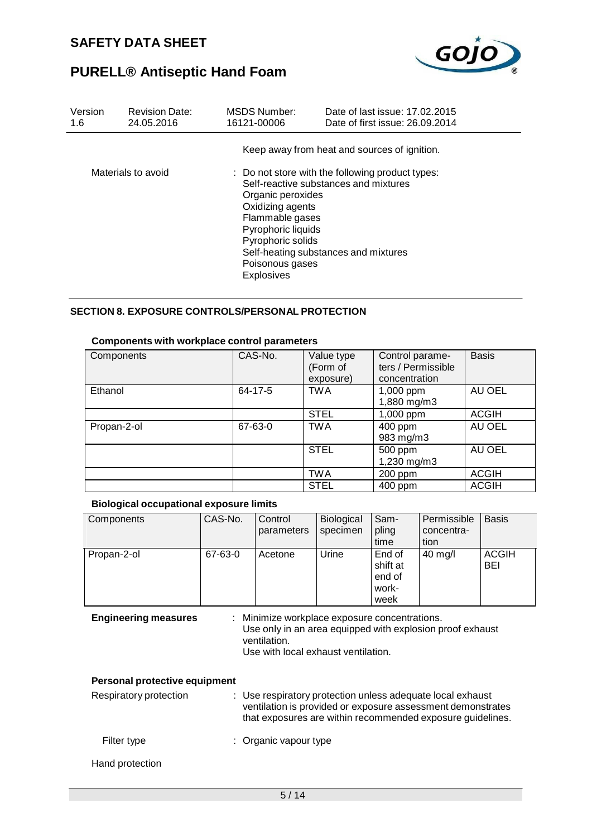

| Version<br>1.6 | <b>Revision Date:</b><br>24.05.2016 | <b>MSDS Number:</b><br>16121-00006                                                                                                          | Date of last issue: 17,02,2015<br>Date of first issue: 26.09.2014                                                                 |
|----------------|-------------------------------------|---------------------------------------------------------------------------------------------------------------------------------------------|-----------------------------------------------------------------------------------------------------------------------------------|
|                |                                     |                                                                                                                                             | Keep away from heat and sources of ignition.                                                                                      |
|                | Materials to avoid                  | Organic peroxides<br>Oxidizing agents<br>Flammable gases<br>Pyrophoric liquids<br>Pyrophoric solids<br>Poisonous gases<br><b>Explosives</b> | : Do not store with the following product types:<br>Self-reactive substances and mixtures<br>Self-heating substances and mixtures |

#### **SECTION 8. EXPOSURE CONTROLS/PERSONAL PROTECTION**

| Components  | CAS-No. | Value type<br>(Form of | Control parame-<br>ters / Permissible | <b>Basis</b> |
|-------------|---------|------------------------|---------------------------------------|--------------|
|             |         | exposure)              | concentration                         |              |
| Ethanol     | 64-17-5 | <b>TWA</b>             | 1,000 ppm<br>1,880 mg/m3              | AU OEL       |
|             |         | <b>STEL</b>            | 1,000 ppm                             | <b>ACGIH</b> |
| Propan-2-ol | 67-63-0 | <b>TWA</b>             | 400 ppm<br>983 mg/m3                  | AU OEL       |
|             |         | <b>STEL</b>            | 500 ppm<br>1,230 mg/m3                | AU OEL       |
|             |         | <b>TWA</b>             | 200 ppm                               | <b>ACGIH</b> |
|             |         | <b>STEL</b>            | 400 ppm                               | <b>ACGIH</b> |

#### **Biological occupational exposure limits**

| Components                                                                                                                                                                                       | CAS-No. | Control<br>parameters                                                                                                                                                                   | Biological<br>specimen | Sam-<br>pling<br>time                         | Permissible<br>concentra-<br>tion | <b>Basis</b> |
|--------------------------------------------------------------------------------------------------------------------------------------------------------------------------------------------------|---------|-----------------------------------------------------------------------------------------------------------------------------------------------------------------------------------------|------------------------|-----------------------------------------------|-----------------------------------|--------------|
| Propan-2-ol                                                                                                                                                                                      | 67-63-0 | Acetone                                                                                                                                                                                 | Urine                  | End of<br>shift at<br>end of<br>work-<br>week | 40 mg/l                           | ACGIH<br>BEI |
| <b>Engineering measures</b><br>: Minimize workplace exposure concentrations.<br>Use only in an area equipped with explosion proof exhaust<br>ventilation.<br>Use with local exhaust ventilation. |         |                                                                                                                                                                                         |                        |                                               |                                   |              |
| Personal protective equipment                                                                                                                                                                    |         |                                                                                                                                                                                         |                        |                                               |                                   |              |
| Respiratory protection                                                                                                                                                                           |         | : Use respiratory protection unless adequate local exhaust<br>ventilation is provided or exposure assessment demonstrates<br>that exposures are within recommended exposure guidelines. |                        |                                               |                                   |              |
| Filter type                                                                                                                                                                                      |         | : Organic vapour type                                                                                                                                                                   |                        |                                               |                                   |              |
| Hand protection                                                                                                                                                                                  |         |                                                                                                                                                                                         |                        |                                               |                                   |              |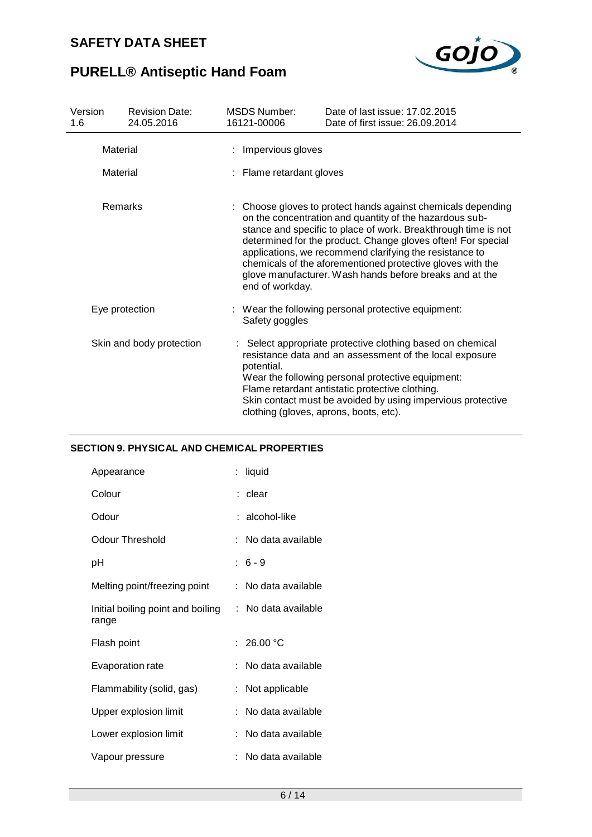

# **PURELL® Antiseptic Hand Foam**

| Version<br>1.6                    | <b>Revision Date:</b><br>24.05.2016 | <b>MSDS Number:</b><br>16121-00006                                                                                                                                                                                                                                                                                                                                                                                                            | Date of last issue: 17,02,2015<br>Date of first issue: 26.09.2014                                                                                                                                                                                                                                                                      |  |  |  |
|-----------------------------------|-------------------------------------|-----------------------------------------------------------------------------------------------------------------------------------------------------------------------------------------------------------------------------------------------------------------------------------------------------------------------------------------------------------------------------------------------------------------------------------------------|----------------------------------------------------------------------------------------------------------------------------------------------------------------------------------------------------------------------------------------------------------------------------------------------------------------------------------------|--|--|--|
| Material                          |                                     | : Impervious gloves                                                                                                                                                                                                                                                                                                                                                                                                                           |                                                                                                                                                                                                                                                                                                                                        |  |  |  |
| Material                          |                                     | : Flame retardant gloves                                                                                                                                                                                                                                                                                                                                                                                                                      |                                                                                                                                                                                                                                                                                                                                        |  |  |  |
| <b>Remarks</b><br>end of workday. |                                     | : Choose gloves to protect hands against chemicals depending<br>on the concentration and quantity of the hazardous sub-<br>stance and specific to place of work. Breakthrough time is not<br>determined for the product. Change gloves often! For special<br>applications, we recommend clarifying the resistance to<br>chemicals of the aforementioned protective gloves with the<br>glove manufacturer. Wash hands before breaks and at the |                                                                                                                                                                                                                                                                                                                                        |  |  |  |
| Eye protection                    |                                     | Safety goggles                                                                                                                                                                                                                                                                                                                                                                                                                                | : Wear the following personal protective equipment:                                                                                                                                                                                                                                                                                    |  |  |  |
|                                   | Skin and body protection            | potential.                                                                                                                                                                                                                                                                                                                                                                                                                                    | : Select appropriate protective clothing based on chemical<br>resistance data and an assessment of the local exposure<br>Wear the following personal protective equipment:<br>Flame retardant antistatic protective clothing.<br>Skin contact must be avoided by using impervious protective<br>clothing (gloves, aprons, boots, etc). |  |  |  |

### **SECTION 9. PHYSICAL AND CHEMICAL PROPERTIES**

| Appearance                                 | liquid              |
|--------------------------------------------|---------------------|
| Colour                                     | : clear             |
| Odour                                      | : alcohol-like      |
| <b>Odour Threshold</b>                     | No data available   |
| рH                                         | $: 6 - 9$           |
| Melting point/freezing point               | : No data available |
| Initial boiling point and boiling<br>range | : No data available |
| Flash point                                | : $26.00 °C$        |
| <b>Evaporation rate</b>                    | No data available   |
| Flammability (solid, gas)                  | Not applicable      |
| Upper explosion limit                      | No data available   |
| Lower explosion limit                      | No data available   |
| Vapour pressure                            | No data available   |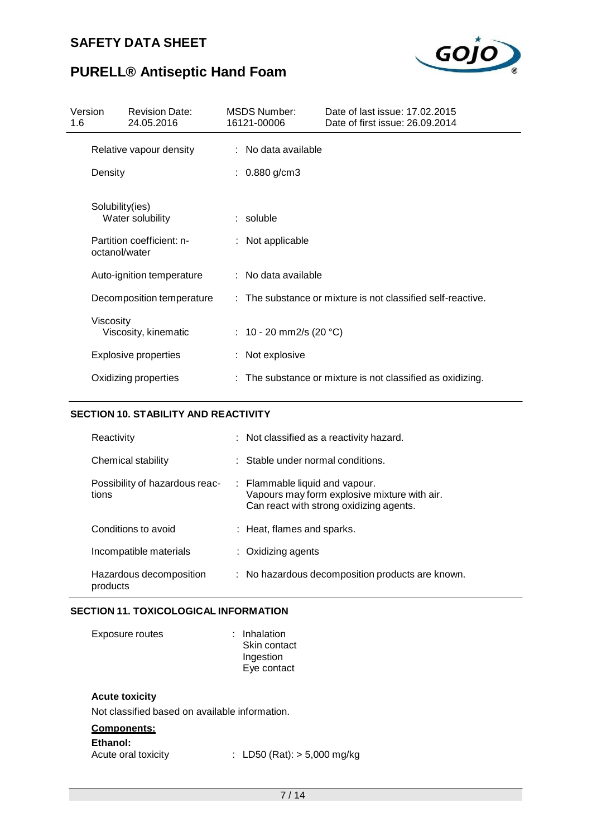

# **PURELL® Antiseptic Hand Foam**

| Version<br>1.6 |                           | <b>Revision Date:</b><br>24.05.2016 |                     | <b>MSDS Number:</b><br>16121-00006                          | Date of last issue: 17,02,2015<br>Date of first issue: 26.09.2014 |  |  |
|----------------|---------------------------|-------------------------------------|---------------------|-------------------------------------------------------------|-------------------------------------------------------------------|--|--|
|                | Relative vapour density   |                                     |                     | : No data available                                         |                                                                   |  |  |
|                | Density                   |                                     | : $0.880$ g/cm3     |                                                             |                                                                   |  |  |
|                | Solubility(ies)           | Water solubility                    |                     | $:$ soluble                                                 |                                                                   |  |  |
|                | octanol/water             | Partition coefficient: n-           |                     | : Not applicable                                            |                                                                   |  |  |
|                |                           | Auto-ignition temperature           | : No data available |                                                             |                                                                   |  |  |
|                | Decomposition temperature |                                     |                     | : The substance or mixture is not classified self-reactive. |                                                                   |  |  |
|                | Viscosity                 | Viscosity, kinematic                |                     | : 10 - 20 mm2/s (20 °C)                                     |                                                                   |  |  |
|                |                           | <b>Explosive properties</b>         |                     | : Not explosive                                             |                                                                   |  |  |
|                |                           | Oxidizing properties                |                     |                                                             | : The substance or mixture is not classified as oxidizing.        |  |  |

#### **SECTION 10. STABILITY AND REACTIVITY**

| Reactivity                              | : Not classified as a reactivity hazard.                                                                                             |
|-----------------------------------------|--------------------------------------------------------------------------------------------------------------------------------------|
| Chemical stability                      | Stable under normal conditions.                                                                                                      |
| Possibility of hazardous reac-<br>tions | $\therefore$ Flammable liquid and vapour.<br>Vapours may form explosive mixture with air.<br>Can react with strong oxidizing agents. |
| Conditions to avoid                     | : Heat, flames and sparks.                                                                                                           |
| Incompatible materials                  | : Oxidizing agents                                                                                                                   |
| Hazardous decomposition<br>products     | : No hazardous decomposition products are known.                                                                                     |

#### **SECTION 11. TOXICOLOGICAL INFORMATION**

| <b>Exposure routes</b> | : Inhalation<br>Skin contact<br>Ingestion |
|------------------------|-------------------------------------------|
|                        | Eye contact                               |

### **Acute toxicity**

Not classified based on available information.

### **Components:**

| Ethanol: |  |  |  |
|----------|--|--|--|
|          |  |  |  |

Acute oral toxicity : LD50 (Rat): > 5,000 mg/kg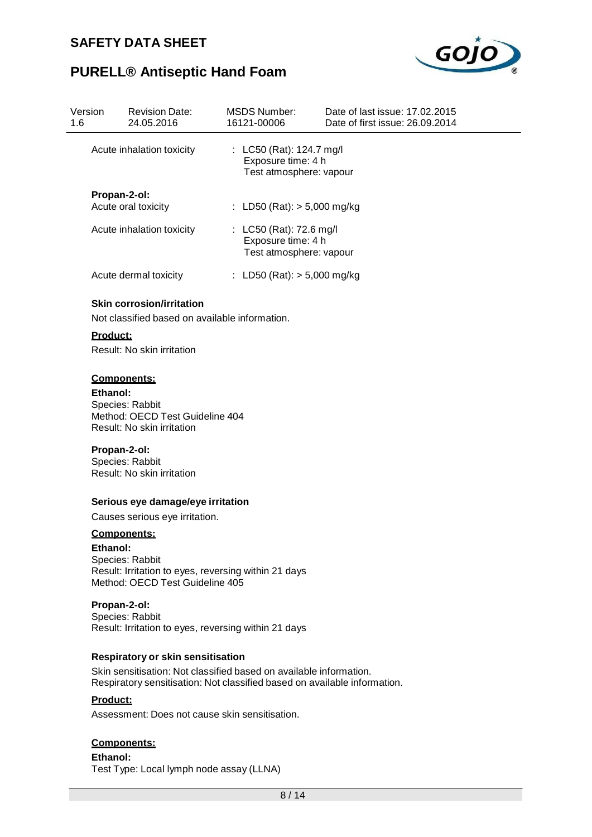

## **PURELL® Antiseptic Hand Foam**

| Version<br>1.6 |                 | <b>Revision Date:</b><br>24.05.2016                                                                              | <b>MSDS Number:</b><br>16121-00006                                        | Date of last issue: 17.02.2015<br>Date of first issue: 26.09.2014 |
|----------------|-----------------|------------------------------------------------------------------------------------------------------------------|---------------------------------------------------------------------------|-------------------------------------------------------------------|
|                |                 | Acute inhalation toxicity                                                                                        | : LC50 (Rat): 124.7 mg/l<br>Exposure time: 4 h<br>Test atmosphere: vapour |                                                                   |
|                | Propan-2-ol:    | Acute oral toxicity                                                                                              | : LD50 (Rat): $> 5,000$ mg/kg                                             |                                                                   |
|                |                 | Acute inhalation toxicity                                                                                        | : LC50 (Rat): 72.6 mg/l<br>Exposure time: 4 h<br>Test atmosphere: vapour  |                                                                   |
|                |                 | Acute dermal toxicity                                                                                            | : LD50 (Rat): $> 5,000$ mg/kg                                             |                                                                   |
|                | Product:        | <b>Skin corrosion/irritation</b><br>Not classified based on available information.<br>Result: No skin irritation |                                                                           |                                                                   |
|                | <b>Ethanol:</b> | Components:<br>Species: Rabbit<br>Method: OECD Test Guideline 404<br>Result: No skin irritation                  |                                                                           |                                                                   |
|                | Propan-2-ol:    | Species: Rabbit<br>Result: No skin irritation                                                                    |                                                                           |                                                                   |
|                |                 | Serious eye damage/eye irritation                                                                                |                                                                           |                                                                   |
|                |                 | Causes serious eye irritation.                                                                                   |                                                                           |                                                                   |

#### **Components:**

**Ethanol:** Species: Rabbit Result: Irritation to eyes, reversing within 21 days Method: OECD Test Guideline 405

#### **Propan-2-ol:**

Species: Rabbit Result: Irritation to eyes, reversing within 21 days

#### **Respiratory or skin sensitisation**

Skin sensitisation: Not classified based on available information. Respiratory sensitisation: Not classified based on available information.

#### **Product:**

Assessment: Does not cause skin sensitisation.

#### **Components:**

**Ethanol:** Test Type: Local lymph node assay (LLNA)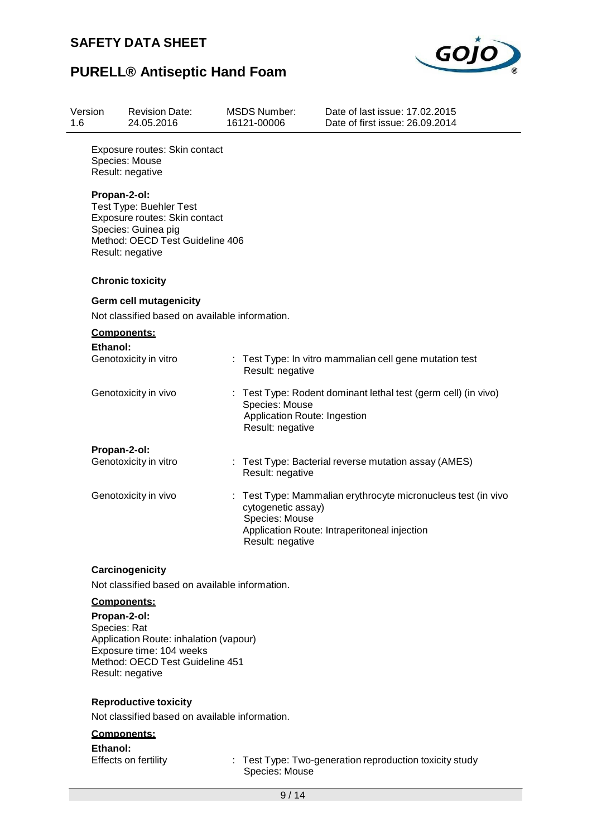

### **PURELL® Antiseptic Hand Foam**

| Version<br>1.6 | <b>Revision Date:</b><br>24.05.2016                                                                                                                    | <b>MSDS Number:</b><br>16121-00006 | Date of last issue: 17.02.2015<br>Date of first issue: 26.09.2014                                                                 |
|----------------|--------------------------------------------------------------------------------------------------------------------------------------------------------|------------------------------------|-----------------------------------------------------------------------------------------------------------------------------------|
|                | Exposure routes: Skin contact<br>Species: Mouse<br>Result: negative                                                                                    |                                    |                                                                                                                                   |
|                | Propan-2-ol:<br>Test Type: Buehler Test<br>Exposure routes: Skin contact<br>Species: Guinea pig<br>Method: OECD Test Guideline 406<br>Result: negative |                                    |                                                                                                                                   |
|                | <b>Chronic toxicity</b>                                                                                                                                |                                    |                                                                                                                                   |
|                | <b>Germ cell mutagenicity</b><br>Not classified based on available information.                                                                        |                                    |                                                                                                                                   |
|                | <b>Components:</b>                                                                                                                                     |                                    |                                                                                                                                   |
|                | Ethanol:<br>Genotoxicity in vitro                                                                                                                      | Result: negative                   | Test Type: In vitro mammalian cell gene mutation test                                                                             |
|                | Genotoxicity in vivo                                                                                                                                   | Species: Mouse<br>Result: negative | : Test Type: Rodent dominant lethal test (germ cell) (in vivo)<br><b>Application Route: Ingestion</b>                             |
|                | Propan-2-ol:                                                                                                                                           |                                    |                                                                                                                                   |
|                | Genotoxicity in vitro                                                                                                                                  | Result: negative                   | Test Type: Bacterial reverse mutation assay (AMES)                                                                                |
|                | Genotoxicity in vivo                                                                                                                                   | Species: Mouse<br>Result: negative | Test Type: Mammalian erythrocyte micronucleus test (in vivo<br>cytogenetic assay)<br>Application Route: Intraperitoneal injection |
|                | Carcinogenicity                                                                                                                                        |                                    |                                                                                                                                   |

Not classified based on available information.

#### **Components:**

**Propan-2-ol:** Species: Rat Application Route: inhalation (vapour) Exposure time: 104 weeks Method: OECD Test Guideline 451 Result: negative

#### **Reproductive toxicity**

Not classified based on available information.

#### **Components:**

**Ethanol:**<br>Effects on fertility

: Test Type: Two-generation reproduction toxicity study Species: Mouse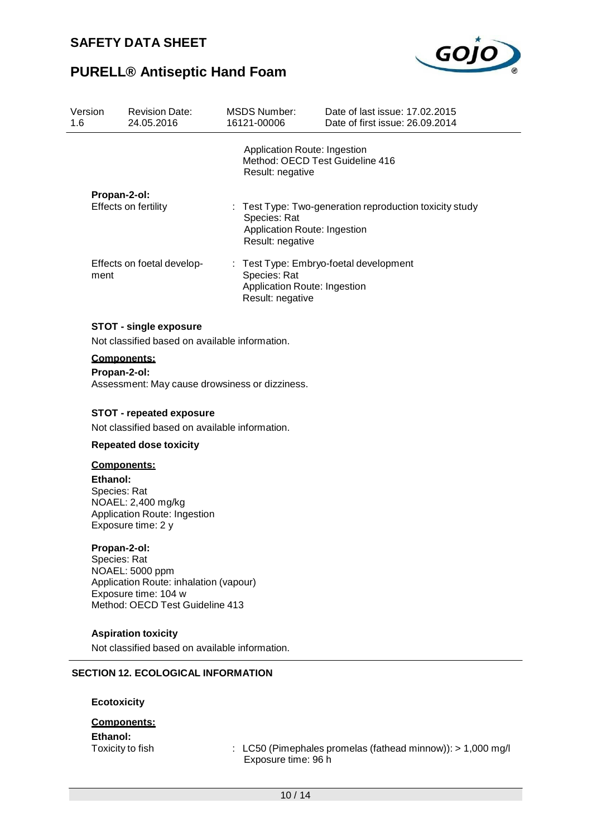

| Version<br>1.6 | <b>Revision Date:</b><br>24.05.2016                                                                                                                  | <b>MSDS Number:</b><br>16121-00006     | Date of last issue: 17.02.2015<br>Date of first issue: 26.09.2014                     |
|----------------|------------------------------------------------------------------------------------------------------------------------------------------------------|----------------------------------------|---------------------------------------------------------------------------------------|
|                |                                                                                                                                                      | Result: negative                       | Application Route: Ingestion<br>Method: OECD Test Guideline 416                       |
|                | Propan-2-ol:<br>Effects on fertility                                                                                                                 | t.<br>Species: Rat<br>Result: negative | Test Type: Two-generation reproduction toxicity study<br>Application Route: Ingestion |
| ment           | Effects on foetal develop-                                                                                                                           | Species: Rat<br>Result: negative       | Test Type: Embryo-foetal development<br>Application Route: Ingestion                  |
|                | <b>STOT - single exposure</b><br>Not classified based on available information.                                                                      |                                        |                                                                                       |
|                | Components:<br>Propan-2-ol:<br>Assessment: May cause drowsiness or dizziness.                                                                        |                                        |                                                                                       |
|                | <b>STOT - repeated exposure</b><br>Not classified based on available information.                                                                    |                                        |                                                                                       |
|                | <b>Repeated dose toxicity</b>                                                                                                                        |                                        |                                                                                       |
| Ethanol:       | <b>Components:</b><br>Species: Rat<br>NOAEL: 2,400 mg/kg<br>Application Route: Ingestion<br>Exposure time: 2 y                                       |                                        |                                                                                       |
|                | Propan-2-ol:<br>Species: Rat<br>NOAEL: 5000 ppm<br>Application Route: inhalation (vapour)<br>Exposure time: 104 w<br>Method: OECD Test Guideline 413 |                                        |                                                                                       |
|                | <b>Aspiration toxicity</b><br>Not classified based on available information.                                                                         |                                        |                                                                                       |
|                | <b>SECTION 12. ECOLOGICAL INFORMATION</b>                                                                                                            |                                        |                                                                                       |
|                | <b>Ecotoxicity</b>                                                                                                                                   |                                        |                                                                                       |
|                | <b>Components:</b>                                                                                                                                   |                                        |                                                                                       |
| Ethanol:       |                                                                                                                                                      |                                        |                                                                                       |
|                | Toxicity to fish                                                                                                                                     | Exposure time: 96 h                    | LC50 (Pimephales promelas (fathead minnow)): > 1,000 mg/l                             |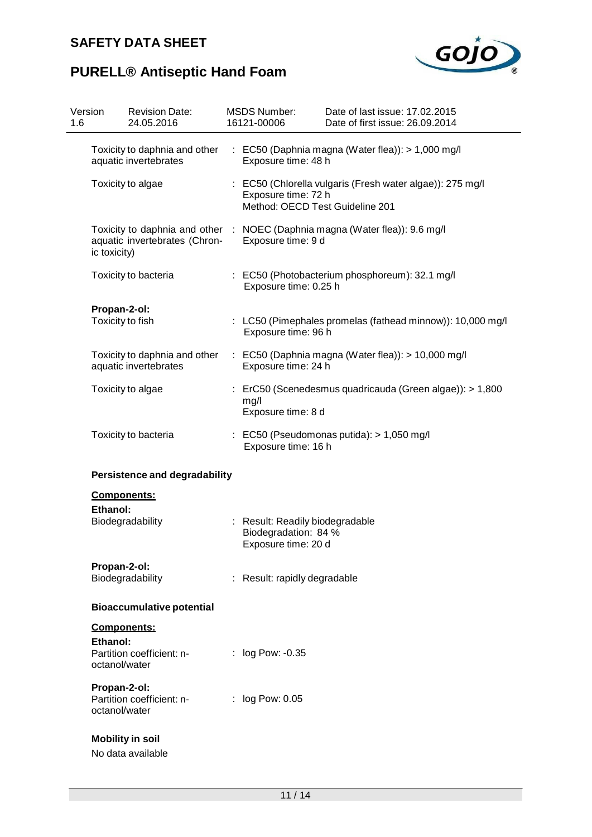

# **PURELL® Antiseptic Hand Foam**

| Version<br>1.6 |                                  | <b>Revision Date:</b><br>24.05.2016                    | <b>MSDS Number:</b><br>16121-00006                                             | Date of last issue: 17.02.2015<br>Date of first issue: 26.09.2014           |
|----------------|----------------------------------|--------------------------------------------------------|--------------------------------------------------------------------------------|-----------------------------------------------------------------------------|
|                |                                  | Toxicity to daphnia and other<br>aquatic invertebrates | Exposure time: 48 h                                                            | : EC50 (Daphnia magna (Water flea)): > 1,000 mg/l                           |
|                |                                  | Toxicity to algae                                      | Exposure time: 72 h<br>Method: OECD Test Guideline 201                         | : EC50 (Chlorella vulgaris (Fresh water algae)): 275 mg/l                   |
|                | ic toxicity)                     | aquatic invertebrates (Chron-                          | Exposure time: 9 d                                                             | Toxicity to daphnia and other : NOEC (Daphnia magna (Water flea)): 9.6 mg/l |
|                |                                  | Toxicity to bacteria                                   | Exposure time: 0.25 h                                                          | : EC50 (Photobacterium phosphoreum): 32.1 mg/l                              |
|                | Propan-2-ol:<br>Toxicity to fish |                                                        | Exposure time: 96 h                                                            | : LC50 (Pimephales promelas (fathead minnow)): 10,000 mg/l                  |
|                |                                  | Toxicity to daphnia and other<br>aquatic invertebrates | Exposure time: 24 h                                                            | $\therefore$ EC50 (Daphnia magna (Water flea)): > 10,000 mg/l               |
|                |                                  | Toxicity to algae                                      | mg/l<br>Exposure time: 8 d                                                     | ErC50 (Scenedesmus quadricauda (Green algae)): > 1,800                      |
|                |                                  | Toxicity to bacteria                                   | Exposure time: 16 h                                                            | $\therefore$ EC50 (Pseudomonas putida): > 1,050 mg/l                        |
|                |                                  | <b>Persistence and degradability</b>                   |                                                                                |                                                                             |
|                | Components:<br>Ethanol:          | Biodegradability                                       | : Result: Readily biodegradable<br>Biodegradation: 84 %<br>Exposure time: 20 d |                                                                             |
|                | Propan-2-ol:                     | Biodegradability                                       | : Result: rapidly degradable                                                   |                                                                             |
|                |                                  | <b>Bioaccumulative potential</b>                       |                                                                                |                                                                             |
|                | <b>Components:</b><br>Ethanol:   |                                                        |                                                                                |                                                                             |
|                | octanol/water                    | Partition coefficient: n-                              | : log Pow: -0.35                                                               |                                                                             |
|                | Propan-2-ol:<br>octanol/water    | Partition coefficient: n-                              | : log Pow: 0.05                                                                |                                                                             |
|                |                                  | <b>Mobility in soil</b><br>No data available           |                                                                                |                                                                             |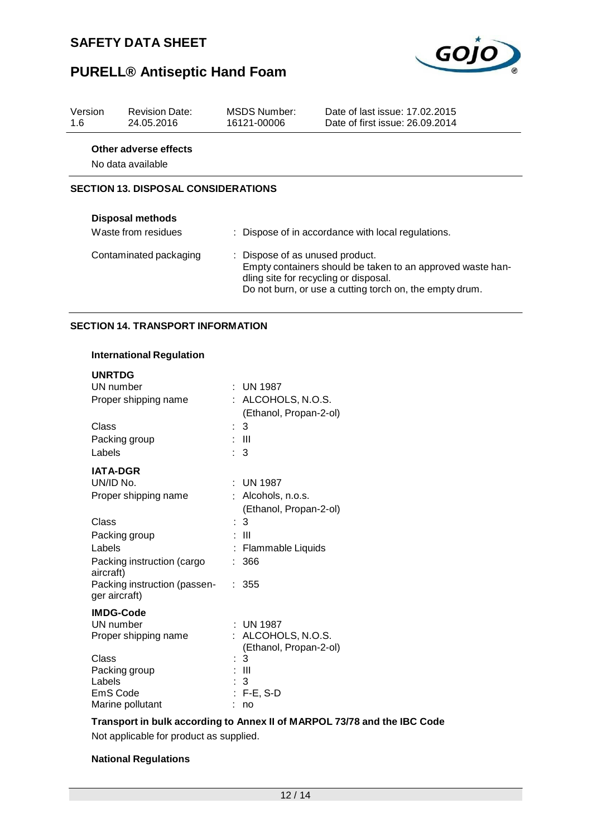

# **PURELL® Antiseptic Hand Foam**

| Version<br>1.6                             | <b>Revision Date:</b><br>24.05.2016        | MSDS Number:<br>16121-00006 | Date of last issue: 17.02.2015<br>Date of first issue: 26.09.2014                                                                                                                                 |  |  |
|--------------------------------------------|--------------------------------------------|-----------------------------|---------------------------------------------------------------------------------------------------------------------------------------------------------------------------------------------------|--|--|
|                                            | Other adverse effects<br>No data available |                             |                                                                                                                                                                                                   |  |  |
| <b>SECTION 13. DISPOSAL CONSIDERATIONS</b> |                                            |                             |                                                                                                                                                                                                   |  |  |
|                                            | <b>Disposal methods</b>                    |                             |                                                                                                                                                                                                   |  |  |
|                                            | Waste from residues                        |                             | : Dispose of in accordance with local regulations.                                                                                                                                                |  |  |
|                                            | Contaminated packaging                     |                             | : Dispose of as unused product.<br>Empty containers should be taken to an approved waste han-<br>dling site for recycling or disposal.<br>Do not burn, or use a cutting torch on, the empty drum. |  |  |

### **SECTION 14. TRANSPORT INFORMATION**

#### **International Regulation**

| <b>UNRTDG</b>                                 |                        |
|-----------------------------------------------|------------------------|
| UN number                                     | $:$ UN 1987            |
| Proper shipping name                          | ALCOHOLS, N.O.S.       |
|                                               | (Ethanol, Propan-2-ol) |
| Class                                         | 3<br>t.                |
| Packing group                                 | : III                  |
| Labels                                        | 3                      |
| <b>IATA-DGR</b>                               |                        |
| UN/ID No.                                     | : UN 1987              |
| Proper shipping name                          | : Alcohols, n.o.s.     |
|                                               | (Ethanol, Propan-2-ol) |
| Class                                         | $\therefore$ 3         |
| Packing group                                 | Ш<br>t                 |
| Labels                                        | Flammable Liquids      |
| Packing instruction (cargo<br>aircraft)       | 366                    |
| Packing instruction (passen-<br>ger aircraft) | 355                    |
| <b>IMDG-Code</b>                              |                        |
| UN number                                     | $:$ UN 1987            |
| Proper shipping name                          | : ALCOHOLS, N.O.S.     |
|                                               | (Ethanol, Propan-2-ol) |
| Class                                         | $\therefore$ 3         |
| Packing group                                 | : III                  |
| Labels<br>EmS Code                            | -3                     |
| Marine pollutant                              | : F-E, S-D<br>no       |
|                                               |                        |

**Transport in bulk according to Annex II of MARPOL 73/78 and the IBC Code** Not applicable for product as supplied.

#### **National Regulations**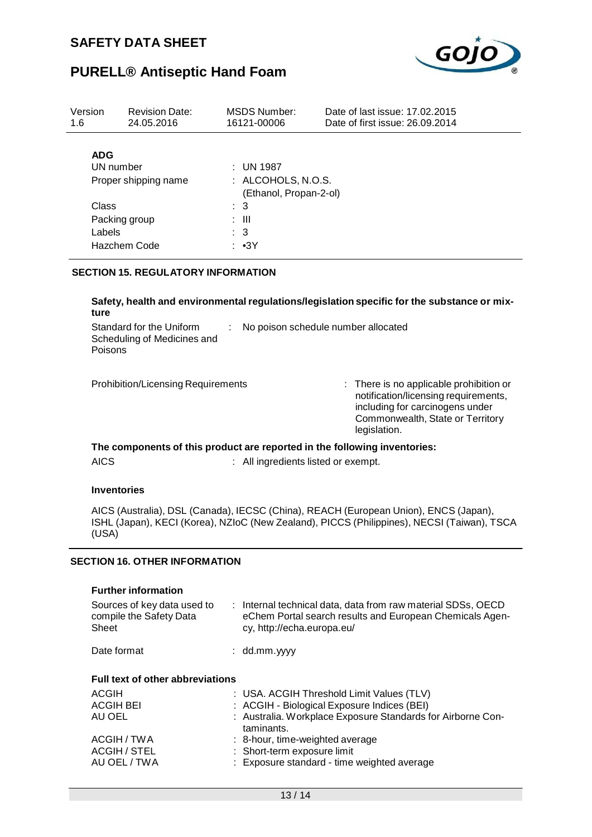

| Version<br>1.6                    | <b>Revision Date:</b><br>24.05.2016 |                                            | MSDS Number:<br>16121-00006 | Date of last issue: 17,02,2015<br>Date of first issue: 26.09.2014 |  |  |  |
|-----------------------------------|-------------------------------------|--------------------------------------------|-----------------------------|-------------------------------------------------------------------|--|--|--|
| <b>ADG</b>                        |                                     |                                            |                             |                                                                   |  |  |  |
| UN number<br>Proper shipping name |                                     | $\therefore$ UN 1987<br>: ALCOHOLS, N.O.S. |                             |                                                                   |  |  |  |
|                                   |                                     | (Ethanol, Propan-2-ol)                     |                             |                                                                   |  |  |  |
| Class                             |                                     | $\therefore$ 3                             |                             |                                                                   |  |  |  |
| Packing group                     |                                     | : III                                      |                             |                                                                   |  |  |  |
| Labels                            |                                     | $\therefore$ 3                             |                             |                                                                   |  |  |  |
| Hazchem Code                      |                                     | : ∙3Y                                      |                             |                                                                   |  |  |  |

### **SECTION 15. REGULATORY INFORMATION**

**Safety, health and environmental regulations/legislation specific for the substance or mixture**

| Standard for the Uniform<br>Scheduling of Medicines and<br>Poisons | No poison schedule number allocated |
|--------------------------------------------------------------------|-------------------------------------|
| <b>Prohibition/Licensing Requirements</b>                          | $\therefore$ There is no applica    |

ble prohibition or notification/licensing requirements, including for carcinogens under Commonwealth, State or Territory legislation.

**The components of this product are reported in the following inventories:** AICS : All ingredients listed or exempt.

#### **Inventories**

AICS (Australia), DSL (Canada), IECSC (China), REACH (European Union), ENCS (Japan), ISHL (Japan), KECI (Korea), NZIoC (New Zealand), PICCS (Philippines), NECSI (Taiwan), TSCA (USA)

#### **SECTION 16. OTHER INFORMATION**

| <b>Further information</b><br>Sources of key data used to<br>compile the Safety Data<br>Sheet |  | : Internal technical data, data from raw material SDSs, OECD<br>eChem Portal search results and European Chemicals Agen-<br>cy, http://echa.europa.eu/                |  |  |  |
|-----------------------------------------------------------------------------------------------|--|-----------------------------------------------------------------------------------------------------------------------------------------------------------------------|--|--|--|
| Date format                                                                                   |  | $:$ dd.mm.yyyy                                                                                                                                                        |  |  |  |
| <b>Full text of other abbreviations</b>                                                       |  |                                                                                                                                                                       |  |  |  |
| ACGIH<br><b>ACGIH BEI</b><br>AU OEL                                                           |  | : USA. ACGIH Threshold Limit Values (TLV)<br>: ACGIH - Biological Exposure Indices (BEI)<br>: Australia. Workplace Exposure Standards for Airborne Con-<br>taminants. |  |  |  |
| ACGIH / TWA<br><b>ACGIH / STEL</b><br>AU OEL / TWA                                            |  | : 8-hour, time-weighted average<br>: Short-term exposure limit<br>: Exposure standard - time weighted average                                                         |  |  |  |